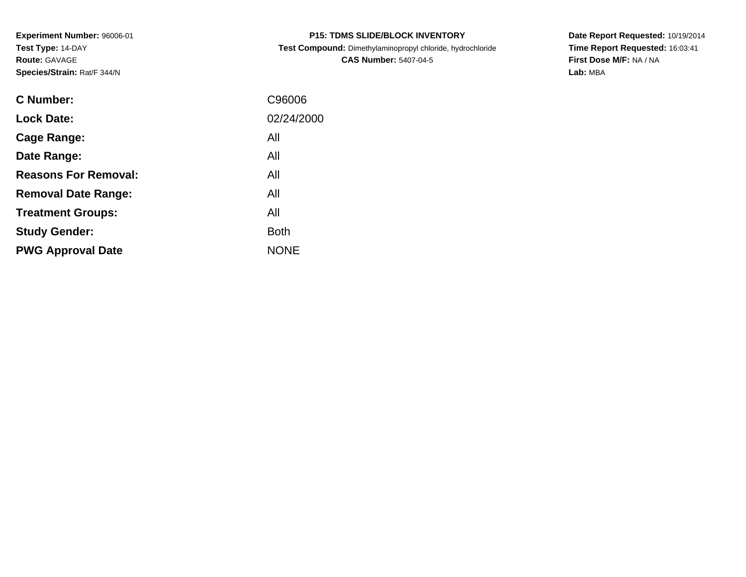**Experiment Number:** 96006-01**Test Type:** 14-DAY**Route:** GAVAGE**Species/Strain:** Rat/F 344/N

| <b>P15: TDMS SLIDE/BLOCK INVENTORY</b> |  |
|----------------------------------------|--|
|----------------------------------------|--|

 **Test Compound:** Dimethylaminopropyl chloride, hydrochloride**CAS Number:** 5407-04-5

**Date Report Requested:** 10/19/2014 **Time Report Requested:** 16:03:41**First Dose M/F:** NA / NA**Lab:** MBA

| C Number:                   | C96006      |
|-----------------------------|-------------|
| <b>Lock Date:</b>           | 02/24/2000  |
| Cage Range:                 | All         |
| Date Range:                 | All         |
| <b>Reasons For Removal:</b> | All         |
| <b>Removal Date Range:</b>  | All         |
| <b>Treatment Groups:</b>    | All         |
| <b>Study Gender:</b>        | <b>Both</b> |
| <b>PWG Approval Date</b>    | <b>NONE</b> |
|                             |             |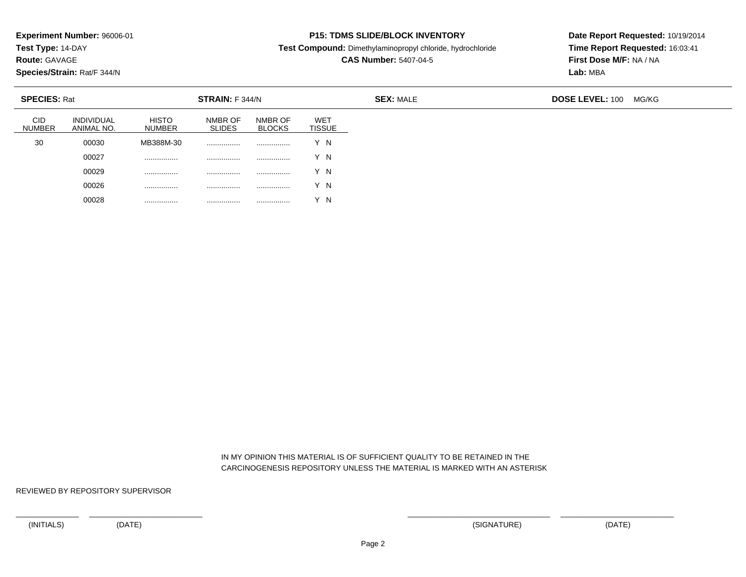**Test Type:** 14-DAY

**Route:** GAVAGE

**Species/Strain:** Rat/F 344/N

## **P15: TDMS SLIDE/BLOCK INVENTORY**

**Test Compound:** Dimethylaminopropyl chloride, hydrochloride

**CAS Number:** 5407-04-5

**Date Report Requested:** 10/19/2014**Time Report Requested:** 16:03:41**First Dose M/F:** NA / NA**Lab:** MBA

| <b>SPECIES: Rat</b>         |                                 |                               | <b>STRAIN:</b> F 344/N   |                          |                              | <b>SEX: MALE</b> | <b>DOSE LEVEL: 100</b> | MG/KG |
|-----------------------------|---------------------------------|-------------------------------|--------------------------|--------------------------|------------------------------|------------------|------------------------|-------|
| <b>CID</b><br><b>NUMBER</b> | <b>INDIVIDUAL</b><br>ANIMAL NO. | <b>HISTO</b><br><b>NUMBER</b> | NMBR OF<br><b>SLIDES</b> | NMBR OF<br><b>BLOCKS</b> | <b>WET</b><br><b>TISSUE</b>  |                  |                        |       |
| 30                          | 00030                           | MB388M-30                     | .                        |                          | Y N                          |                  |                        |       |
|                             | 00027                           |                               | .                        |                          | Y N                          |                  |                        |       |
|                             | 00029                           |                               |                          |                          | Y N                          |                  |                        |       |
|                             | 00026                           |                               |                          |                          | Y N                          |                  |                        |       |
|                             | 00028                           | .                             | .                        |                          | $\sqrt{ }$<br>$\overline{N}$ |                  |                        |       |

 IN MY OPINION THIS MATERIAL IS OF SUFFICIENT QUALITY TO BE RETAINED IN THECARCINOGENESIS REPOSITORY UNLESS THE MATERIAL IS MARKED WITH AN ASTERISK

REVIEWED BY REPOSITORY SUPERVISOR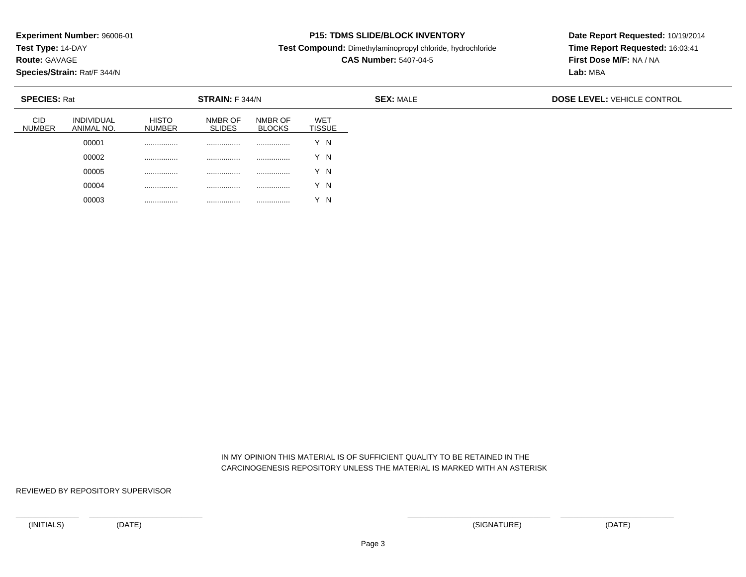**Test Type:** 14-DAY

**Route:** GAVAGE

**Species/Strain:** Rat/F 344/N

# **P15: TDMS SLIDE/BLOCK INVENTORY**

**Test Compound:** Dimethylaminopropyl chloride, hydrochloride

**CAS Number:** 5407-04-5

**Date Report Requested:** 10/19/2014**Time Report Requested:** 16:03:41**First Dose M/F:** NA / NA**Lab:** MBA

| <b>SPECIES: Rat</b>         |                                 |                               | <b>STRAIN:</b> F 344/N   |                          |                      | <b>SEX: MALE</b> | <b>DOSE LEVEL: VEHICLE CONTROL</b> |
|-----------------------------|---------------------------------|-------------------------------|--------------------------|--------------------------|----------------------|------------------|------------------------------------|
| <b>CID</b><br><b>NUMBER</b> | <b>INDIVIDUAL</b><br>ANIMAL NO. | <b>HISTO</b><br><b>NUMBER</b> | NMBR OF<br><b>SLIDES</b> | NMBR OF<br><b>BLOCKS</b> | WET<br><b>TISSUE</b> |                  |                                    |
|                             | 00001                           | .                             | .                        |                          | Y N                  |                  |                                    |
|                             | 00002                           | .                             | .                        | .                        | Y N                  |                  |                                    |
|                             | 00005                           |                               |                          |                          | Y N                  |                  |                                    |
|                             | 00004                           | .                             | .                        | .                        | Y N                  |                  |                                    |
|                             | 00003                           |                               | .                        | .                        | $\checkmark$<br>΄ Ν  |                  |                                    |

 IN MY OPINION THIS MATERIAL IS OF SUFFICIENT QUALITY TO BE RETAINED IN THECARCINOGENESIS REPOSITORY UNLESS THE MATERIAL IS MARKED WITH AN ASTERISK

REVIEWED BY REPOSITORY SUPERVISOR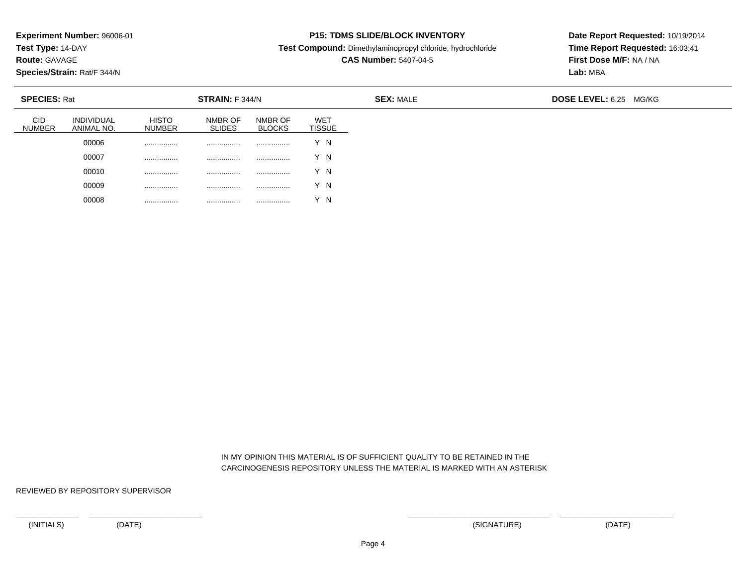**Test Type:** 14-DAY

**Route:** GAVAGE

**Species/Strain:** Rat/F 344/N

# **P15: TDMS SLIDE/BLOCK INVENTORY**

**Test Compound:** Dimethylaminopropyl chloride, hydrochloride

**CAS Number:** 5407-04-5

**Date Report Requested:** 10/19/2014**Time Report Requested:** 16:03:41**First Dose M/F:** NA / NA**Lab:** MBA

| <b>SPECIES: Rat</b>         |                          |                               | <b>STRAIN:</b> F 344/N   |                          |                             | <b>SEX: MALE</b> | <b>DOSE LEVEL: 6.25 MG/KG</b> |
|-----------------------------|--------------------------|-------------------------------|--------------------------|--------------------------|-----------------------------|------------------|-------------------------------|
| <b>CID</b><br><b>NUMBER</b> | INDIVIDUAL<br>ANIMAL NO. | <b>HISTO</b><br><b>NUMBER</b> | NMBR OF<br><b>SLIDES</b> | NMBR OF<br><b>BLOCKS</b> | <b>WET</b><br><b>TISSUE</b> |                  |                               |
|                             | 00006                    |                               |                          |                          | Y N                         |                  |                               |
|                             | 00007                    |                               |                          |                          | Y N                         |                  |                               |
|                             | 00010                    |                               |                          |                          | Y N                         |                  |                               |
|                             | 00009                    | .                             | .                        | .                        | Y N                         |                  |                               |
|                             | 00008                    |                               | .                        |                          | Y N                         |                  |                               |

 IN MY OPINION THIS MATERIAL IS OF SUFFICIENT QUALITY TO BE RETAINED IN THECARCINOGENESIS REPOSITORY UNLESS THE MATERIAL IS MARKED WITH AN ASTERISK

REVIEWED BY REPOSITORY SUPERVISOR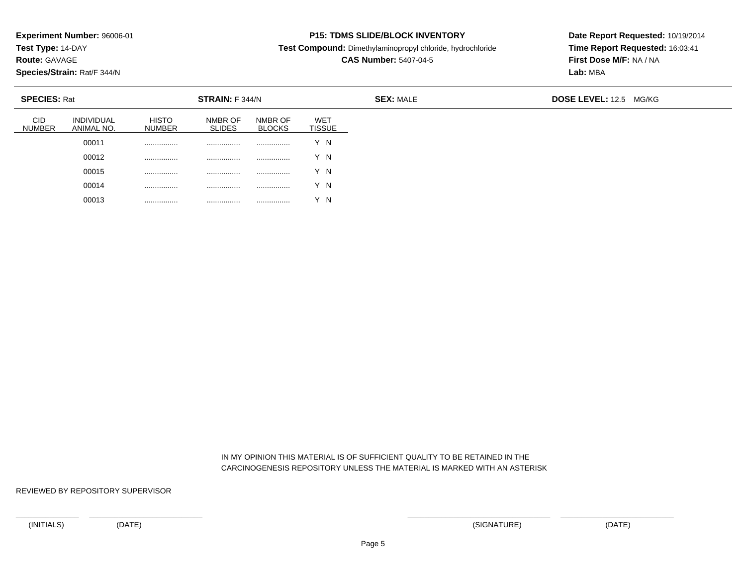**Test Type:** 14-DAY

**Route:** GAVAGE

**Species/Strain:** Rat/F 344/N

## **P15: TDMS SLIDE/BLOCK INVENTORY**

**Test Compound:** Dimethylaminopropyl chloride, hydrochloride

**CAS Number:** 5407-04-5

**Date Report Requested:** 10/19/2014**Time Report Requested:** 16:03:41**First Dose M/F:** NA / NA**Lab:** MBA

| <b>SPECIES: Rat</b>         |                                 |                               | <b>STRAIN: F 344/N</b>   |                          |                      | <b>SEX: MALE</b> | DOSE LEVEL: 12.5 MG/KG |  |
|-----------------------------|---------------------------------|-------------------------------|--------------------------|--------------------------|----------------------|------------------|------------------------|--|
| <b>CID</b><br><b>NUMBER</b> | <b>INDIVIDUAL</b><br>ANIMAL NO. | <b>HISTO</b><br><b>NUMBER</b> | NMBR OF<br><b>SLIDES</b> | NMBR OF<br><b>BLOCKS</b> | <b>WET</b><br>TISSUE |                  |                        |  |
|                             | 00011                           | .                             | .                        | .                        | Y N                  |                  |                        |  |
|                             | 00012                           | .                             | .                        |                          | Y N                  |                  |                        |  |
|                             | 00015                           |                               |                          |                          | Y N                  |                  |                        |  |
|                             | 00014                           | .                             | .                        | .                        | Y N                  |                  |                        |  |
|                             | 00013                           |                               | .                        |                          | $\sqrt{}$<br>' N     |                  |                        |  |

 IN MY OPINION THIS MATERIAL IS OF SUFFICIENT QUALITY TO BE RETAINED IN THECARCINOGENESIS REPOSITORY UNLESS THE MATERIAL IS MARKED WITH AN ASTERISK

REVIEWED BY REPOSITORY SUPERVISOR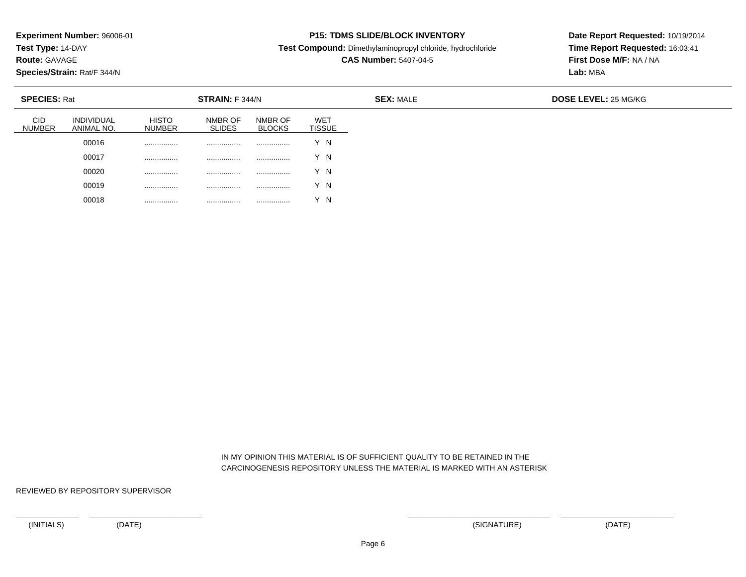**Test Type:** 14-DAY

**Route:** GAVAGE

**Species/Strain:** Rat/F 344/N

## **P15: TDMS SLIDE/BLOCK INVENTORY**

**Test Compound:** Dimethylaminopropyl chloride, hydrochloride

**CAS Number:** 5407-04-5

**Date Report Requested:** 10/19/2014**Time Report Requested:** 16:03:41**First Dose M/F:** NA / NA**Lab:** MBA

| <b>SPECIES: Rat</b>         |                                 |                        | <b>STRAIN: F 344/N</b>   |                          |                             | <b>SEX: MALE</b> | <b>DOSE LEVEL: 25 MG/KG</b> |
|-----------------------------|---------------------------------|------------------------|--------------------------|--------------------------|-----------------------------|------------------|-----------------------------|
| <b>CID</b><br><b>NUMBER</b> | <b>INDIVIDUAL</b><br>ANIMAL NO. | <b>HISTO</b><br>NUMBER | NMBR OF<br><b>SLIDES</b> | NMBR OF<br><b>BLOCKS</b> | <b>WET</b><br><b>TISSUE</b> |                  |                             |
|                             | 00016                           |                        | .                        | .                        | Y N                         |                  |                             |
|                             | 00017                           |                        | .                        | .                        | Y N                         |                  |                             |
|                             | 00020                           | .                      | .                        | .                        | Y N                         |                  |                             |
|                             | 00019                           | .                      | .                        | .                        | Y N                         |                  |                             |
|                             | 00018                           | .                      | .                        | .                        | Y N                         |                  |                             |

 IN MY OPINION THIS MATERIAL IS OF SUFFICIENT QUALITY TO BE RETAINED IN THECARCINOGENESIS REPOSITORY UNLESS THE MATERIAL IS MARKED WITH AN ASTERISK

REVIEWED BY REPOSITORY SUPERVISOR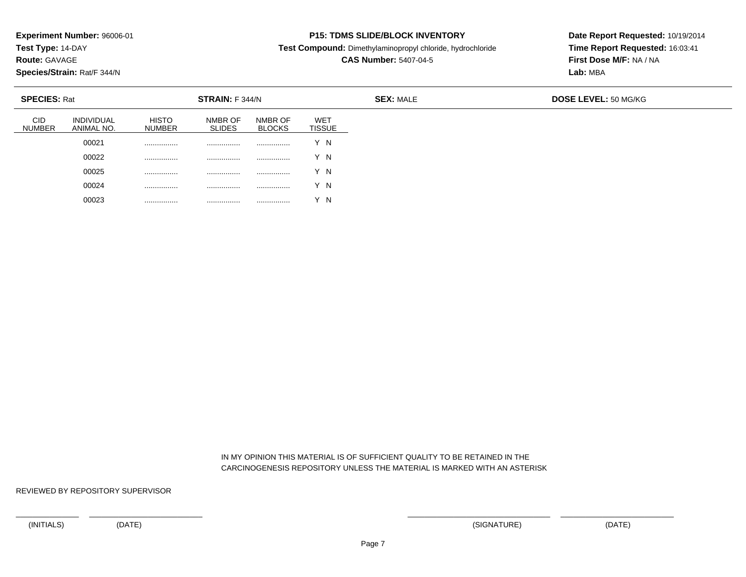**Test Type:** 14-DAY

**Route:** GAVAGE

**Species/Strain:** Rat/F 344/N

# **P15: TDMS SLIDE/BLOCK INVENTORY**

**Test Compound:** Dimethylaminopropyl chloride, hydrochloride

**CAS Number:** 5407-04-5

**Date Report Requested:** 10/19/2014**Time Report Requested:** 16:03:41**First Dose M/F:** NA / NA**Lab:** MBA

| <b>SPECIES: Rat</b>  |                                 |                        | <b>STRAIN:</b> F 344/N   |                          |                             | <b>SEX: MALE</b> | DOSE LEVEL: 50 MG/KG |
|----------------------|---------------------------------|------------------------|--------------------------|--------------------------|-----------------------------|------------------|----------------------|
| <b>CID</b><br>NUMBER | <b>INDIVIDUAL</b><br>ANIMAL NO. | <b>HISTO</b><br>NUMBER | NMBR OF<br><b>SLIDES</b> | NMBR OF<br><b>BLOCKS</b> | <b>WET</b><br><b>TISSUE</b> |                  |                      |
|                      | 00021                           | .                      | .                        | .                        | $\vee$<br>Y N               |                  |                      |
|                      | 00022                           | .                      | .                        |                          | Y N                         |                  |                      |
|                      | 00025                           | .                      | .                        | .                        | Y N                         |                  |                      |
|                      | 00024                           | .                      | .                        | .                        | Y N                         |                  |                      |
|                      | 00023                           | .                      | .                        | .                        | N                           |                  |                      |

 IN MY OPINION THIS MATERIAL IS OF SUFFICIENT QUALITY TO BE RETAINED IN THECARCINOGENESIS REPOSITORY UNLESS THE MATERIAL IS MARKED WITH AN ASTERISK

REVIEWED BY REPOSITORY SUPERVISOR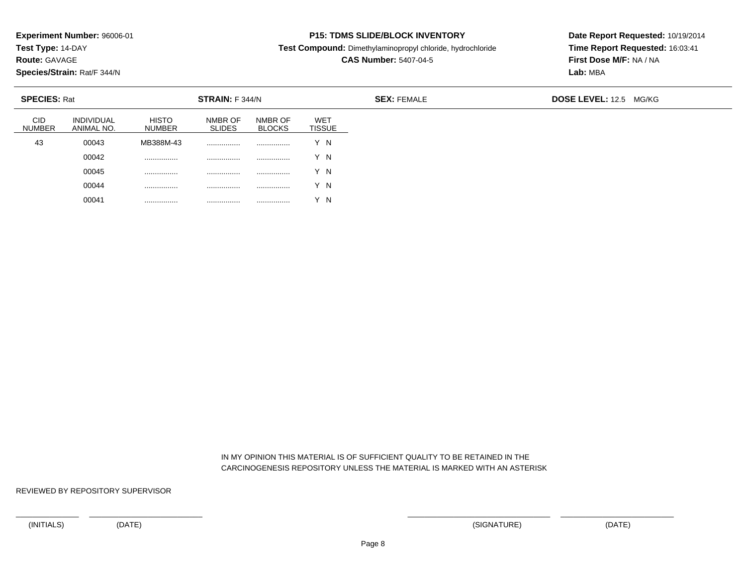**Test Type:** 14-DAY

**Route:** GAVAGE

**Species/Strain:** Rat/F 344/N

### **P15: TDMS SLIDE/BLOCK INVENTORY**

**Test Compound:** Dimethylaminopropyl chloride, hydrochloride

**CAS Number:** 5407-04-5

**Date Report Requested:** 10/19/2014**Time Report Requested:** 16:03:41**First Dose M/F:** NA / NA**Lab:** MBA

| <b>SPECIES: Rat</b>         |                                 |                               | STRAIN: F 344/N          |                          |                             |  |  |
|-----------------------------|---------------------------------|-------------------------------|--------------------------|--------------------------|-----------------------------|--|--|
| <b>CID</b><br><b>NUMBER</b> | <b>INDIVIDUAL</b><br>ANIMAL NO. | <b>HISTO</b><br><b>NUMBER</b> | NMBR OF<br><b>SLIDES</b> | NMBR OF<br><b>BLOCKS</b> | <b>WET</b><br><b>TISSUE</b> |  |  |
| 43                          | 00043                           | MB388M-43                     |                          | .                        | Y N                         |  |  |
|                             | 00042                           | .                             |                          | .                        | Y N                         |  |  |
|                             | 00045                           | .                             |                          |                          | Y N                         |  |  |
|                             | 00044                           | .                             |                          |                          | Y N                         |  |  |
|                             | 00041                           | .                             | .                        |                          | Y N                         |  |  |

 IN MY OPINION THIS MATERIAL IS OF SUFFICIENT QUALITY TO BE RETAINED IN THECARCINOGENESIS REPOSITORY UNLESS THE MATERIAL IS MARKED WITH AN ASTERISK

REVIEWED BY REPOSITORY SUPERVISOR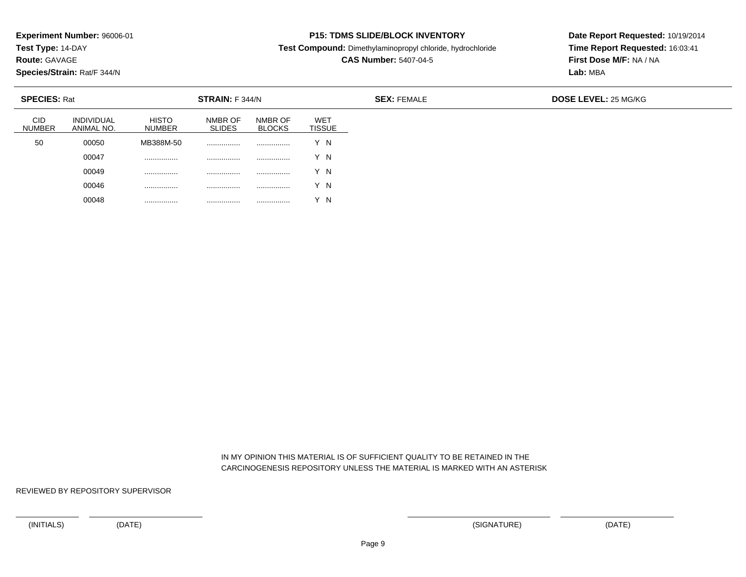**Test Type:** 14-DAY

**Route:** GAVAGE

**Species/Strain:** Rat/F 344/N

## **P15: TDMS SLIDE/BLOCK INVENTORY**

**Test Compound:** Dimethylaminopropyl chloride, hydrochloride

**CAS Number:** 5407-04-5

**Date Report Requested:** 10/19/2014**Time Report Requested:** 16:03:41**First Dose M/F:** NA / NA**Lab:** MBA

| <b>SPECIES: Rat</b>         |                                 |                               | <b>STRAIN: F 344/N</b>   |                          |                             | <b>SEX: FEMALE</b> | <b>DOSE LEVEL: 25 MG/KG</b> |
|-----------------------------|---------------------------------|-------------------------------|--------------------------|--------------------------|-----------------------------|--------------------|-----------------------------|
| <b>CID</b><br><b>NUMBER</b> | <b>INDIVIDUAL</b><br>ANIMAL NO. | <b>HISTO</b><br><b>NUMBER</b> | NMBR OF<br><b>SLIDES</b> | NMBR OF<br><b>BLOCKS</b> | <b>WET</b><br><b>TISSUE</b> |                    |                             |
| 50                          | 00050                           | MB388M-50                     | .                        |                          | N                           |                    |                             |
|                             | 00047                           |                               | .                        |                          | ΄Ν                          |                    |                             |
|                             | 00049                           | .                             | .                        | .                        | Y N                         |                    |                             |
|                             | 00046                           | .                             | .                        | .                        | Y N                         |                    |                             |
|                             | 00048                           |                               | .                        | .                        | N                           |                    |                             |

 IN MY OPINION THIS MATERIAL IS OF SUFFICIENT QUALITY TO BE RETAINED IN THECARCINOGENESIS REPOSITORY UNLESS THE MATERIAL IS MARKED WITH AN ASTERISK

REVIEWED BY REPOSITORY SUPERVISOR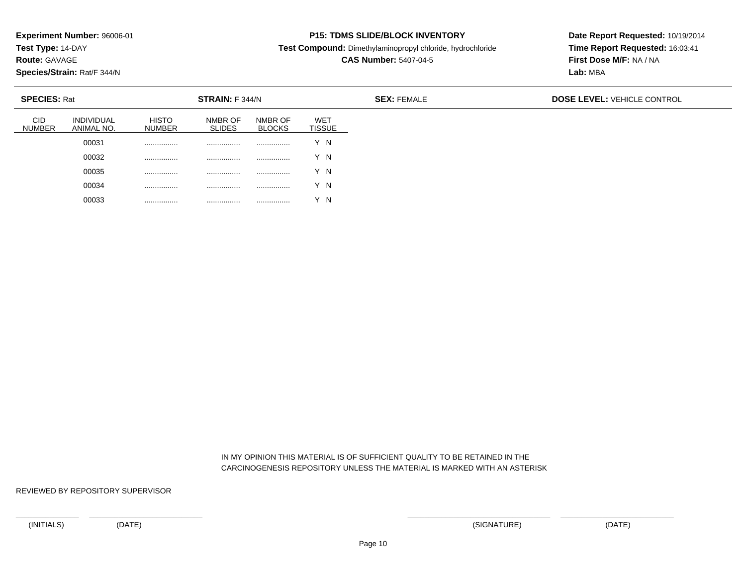**Test Type:** 14-DAY

**Route:** GAVAGE

**Species/Strain:** Rat/F 344/N

# **P15: TDMS SLIDE/BLOCK INVENTORY**

**Test Compound:** Dimethylaminopropyl chloride, hydrochloride

**CAS Number:** 5407-04-5

**Date Report Requested:** 10/19/2014**Time Report Requested:** 16:03:41**First Dose M/F:** NA / NA**Lab:** MBA

| <b>SPECIES: Rat</b>         |                                 |                               | STRAIN: F 344/N          |                          |                             | <b>SEX: FEMALE</b> | <b>DOSE LEVEL: VEHICLE CONTROL</b> |
|-----------------------------|---------------------------------|-------------------------------|--------------------------|--------------------------|-----------------------------|--------------------|------------------------------------|
| <b>CID</b><br><b>NUMBER</b> | <b>INDIVIDUAL</b><br>ANIMAL NO. | <b>HISTO</b><br><b>NUMBER</b> | NMBR OF<br><b>SLIDES</b> | NMBR OF<br><b>BLOCKS</b> | <b>WET</b><br><b>TISSUE</b> |                    |                                    |
|                             | 00031                           |                               |                          | .                        | Y N                         |                    |                                    |
|                             | 00032                           |                               |                          |                          | Y N                         |                    |                                    |
|                             | 00035                           |                               | .                        |                          | Y N                         |                    |                                    |
|                             | 00034                           | .                             | .                        |                          | Y N                         |                    |                                    |
|                             | 00033                           | .                             |                          | .                        | $\sqrt{}$<br>$\overline{N}$ |                    |                                    |

 IN MY OPINION THIS MATERIAL IS OF SUFFICIENT QUALITY TO BE RETAINED IN THECARCINOGENESIS REPOSITORY UNLESS THE MATERIAL IS MARKED WITH AN ASTERISK

REVIEWED BY REPOSITORY SUPERVISOR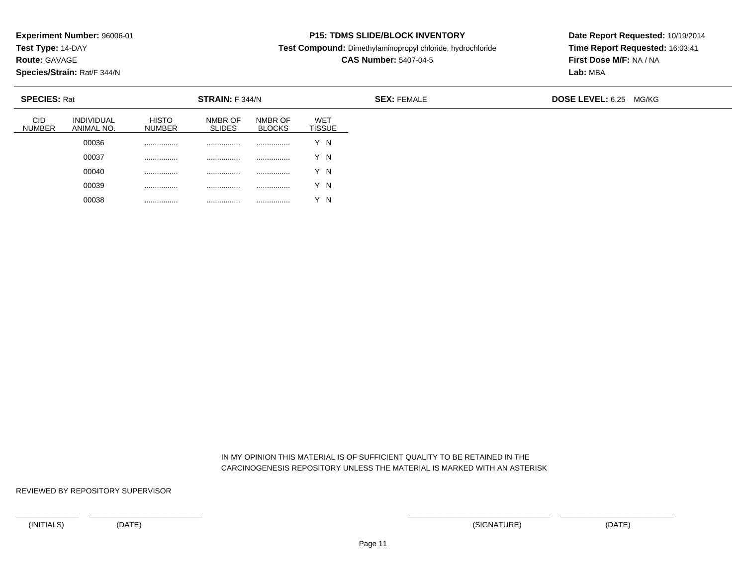**Test Type:** 14-DAY

**Route:** GAVAGE

**Species/Strain:** Rat/F 344/N

# **P15: TDMS SLIDE/BLOCK INVENTORY**

**Test Compound:** Dimethylaminopropyl chloride, hydrochloride

**CAS Number:** 5407-04-5

**Date Report Requested:** 10/19/2014**Time Report Requested:** 16:03:41**First Dose M/F:** NA / NA**Lab:** MBA

| <b>SPECIES: Rat</b>         |                                 |                               | <b>STRAIN: F 344/N</b>   |                          |                             | <b>SEX: FEMALE</b> | DOSE LEVEL: 6.25 MG/KG |
|-----------------------------|---------------------------------|-------------------------------|--------------------------|--------------------------|-----------------------------|--------------------|------------------------|
| <b>CID</b><br><b>NUMBER</b> | <b>INDIVIDUAL</b><br>ANIMAL NO. | <b>HISTO</b><br><b>NUMBER</b> | NMBR OF<br><b>SLIDES</b> | NMBR OF<br><b>BLOCKS</b> | <b>WET</b><br><b>TISSUE</b> |                    |                        |
|                             | 00036                           | .                             | .                        | .                        | Y N                         |                    |                        |
|                             | 00037                           | .                             | .                        |                          | Y N                         |                    |                        |
|                             | 00040                           |                               |                          |                          | Y N                         |                    |                        |
|                             | 00039                           | .                             | .                        | .                        | Y N                         |                    |                        |
|                             | 00038                           |                               | .                        | .                        | $\sqrt{}$<br>' N            |                    |                        |

 IN MY OPINION THIS MATERIAL IS OF SUFFICIENT QUALITY TO BE RETAINED IN THECARCINOGENESIS REPOSITORY UNLESS THE MATERIAL IS MARKED WITH AN ASTERISK

REVIEWED BY REPOSITORY SUPERVISOR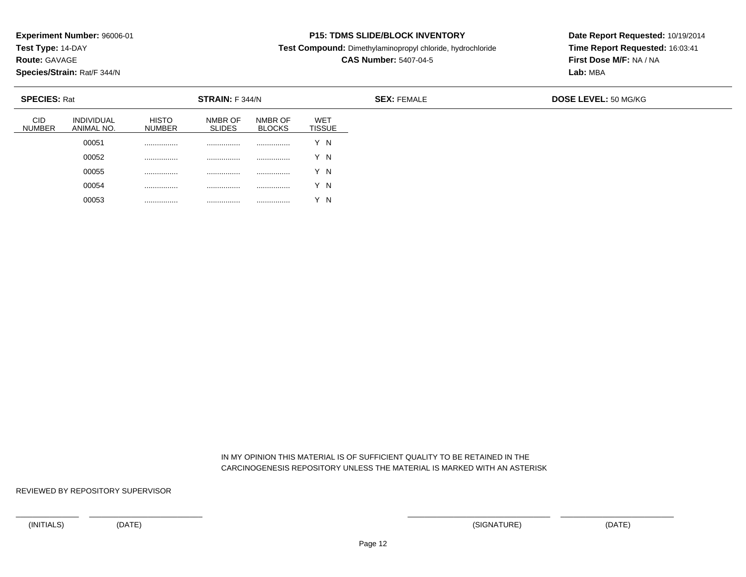**Test Type:** 14-DAY

**Route:** GAVAGE

**Species/Strain:** Rat/F 344/N

# **P15: TDMS SLIDE/BLOCK INVENTORY**

**Test Compound:** Dimethylaminopropyl chloride, hydrochloride

**CAS Number:** 5407-04-5

**Date Report Requested:** 10/19/2014**Time Report Requested:** 16:03:41**First Dose M/F:** NA / NA**Lab:** MBA

| <b>SPECIES: Rat</b>  |                                 |                               | <b>STRAIN:</b> F 344/N   |                          |                             | <b>SEX: FEMALE</b> | <b>DOSE LEVEL: 50 MG/KG</b> |  |
|----------------------|---------------------------------|-------------------------------|--------------------------|--------------------------|-----------------------------|--------------------|-----------------------------|--|
| CID<br><b>NUMBER</b> | <b>INDIVIDUAL</b><br>ANIMAL NO. | <b>HISTO</b><br><b>NUMBER</b> | NMBR OF<br><b>SLIDES</b> | NMBR OF<br><b>BLOCKS</b> | <b>WET</b><br><b>TISSUE</b> |                    |                             |  |
|                      | 00051                           | .                             | .                        | .                        | $\checkmark$<br>Y N         |                    |                             |  |
|                      | 00052                           | .                             | .                        | .                        | $\checkmark$<br>'N          |                    |                             |  |
|                      | 00055                           | .                             |                          | .                        | Y N                         |                    |                             |  |
|                      | 00054                           | .                             | .                        | .                        | Y N                         |                    |                             |  |
|                      | 00053                           | .                             | .                        | .                        | N                           |                    |                             |  |

 IN MY OPINION THIS MATERIAL IS OF SUFFICIENT QUALITY TO BE RETAINED IN THECARCINOGENESIS REPOSITORY UNLESS THE MATERIAL IS MARKED WITH AN ASTERISK

REVIEWED BY REPOSITORY SUPERVISOR